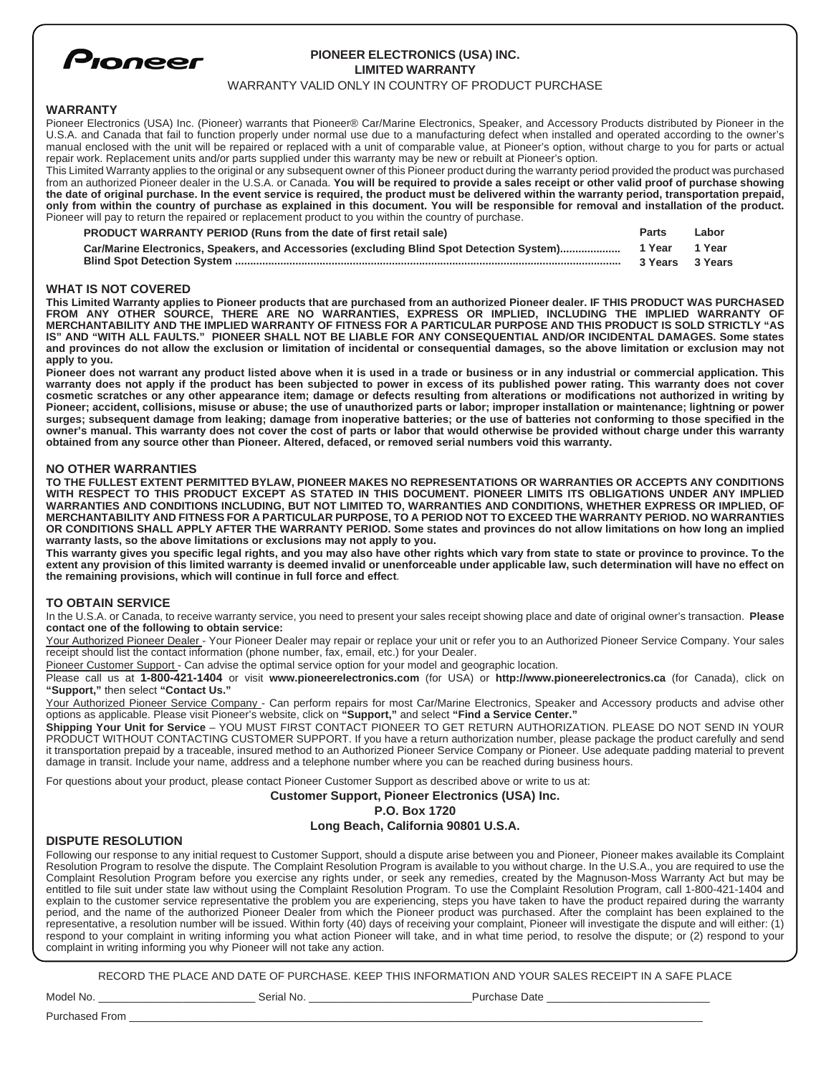

# **PIONEER ELECTRONICS (USA) INC. LIMITED WARRANTY**

### WARRANTY VALID ONLY IN COUNTRY OF PRODUCT PURCHASE

## **WARRANTY**

Pioneer Electronics (USA) Inc. (Pioneer) warrants that Pioneer® Car/Marine Electronics, Speaker, and Accessory Products distributed by Pioneer in the U.S.A. and Canada that fail to function properly under normal use due to a manufacturing defect when installed and operated according to the owner's manual enclosed with the unit will be repaired or replaced with a unit of comparable value, at Pioneer's option, without charge to you for parts or actual repair work. Replacement units and/or parts supplied under this warranty may be new or rebuilt at Pioneer's option.

This Limited Warranty applies to the original or any subsequent owner of this Pioneer product during the warranty period provided the product was purchased from an authorized Pioneer dealer in the U.S.A. or Canada. **You will be required to provide a sales receipt or other valid proof of purchase showing the date of original purchase. In the event service is required, the product must be delivered within the warranty period, transportation prepaid, only from within the country of purchase as explained in this document. You will be responsible for removal and installation of the product.** Pioneer will pay to return the repaired or replacement product to you within the country of purchase.

| <b>PRODUCT WARRANTY PERIOD (Runs from the date of first retail sale)</b>                  | <b>Parts</b>    | Labor  |
|-------------------------------------------------------------------------------------------|-----------------|--------|
| Car/Marine Electronics, Speakers, and Accessories (excluding Blind Spot Detection System) | 1 Year          | 1 Year |
|                                                                                           | 3 Years 3 Years |        |

### **WHAT IS NOT COVERED**

**This Limited Warranty applies to Pioneer products that are purchased from an authorized Pioneer dealer. IF THIS PRODUCT WAS PURCHASED FROM ANY OTHER SOURCE, THERE ARE NO WARRANTIES, EXPRESS OR IMPLIED, INCLUDING THE IMPLIED WARRANTY OF MERCHANTABILITY AND THE IMPLIED WARRANTY OF FITNESS FOR A PARTICULAR PURPOSE AND THIS PRODUCT IS SOLD STRICTLY "AS IS" AND "WITH ALL FAULTS." PIONEER SHALL NOT BE LIABLE FOR ANY CONSEQUENTIAL AND/OR INCIDENTAL DAMAGES. Some states and provinces do not allow the exclusion or limitation of incidental or consequential damages, so the above limitation or exclusion may not apply to you.** 

**Pioneer does not warrant any product listed above when it is used in a trade or business or in any industrial or commercial application. This warranty does not apply if the product has been subjected to power in excess of its published power rating. This warranty does not cover cosmetic scratches or any other appearance item; damage or defects resulting from alterations or modifications not authorized in writing by Pioneer; accident, collisions, misuse or abuse; the use of unauthorized parts or labor; improper installation or maintenance; lightning or power surges; subsequent damage from leaking; damage from inoperative batteries; or the use of batteries not conforming to those specified in the owner's manual. This warranty does not cover the cost of parts or labor that would otherwise be provided without charge under this warranty obtained from any source other than Pioneer. Altered, defaced, or removed serial numbers void this warranty.**

### **NO OTHER WARRANTIES**

**TO THE FULLEST EXTENT PERMITTED BYLAW, PIONEER MAKES NO REPRESENTATIONS OR WARRANTIES OR ACCEPTS ANY CONDITIONS WITH RESPECT TO THIS PRODUCT EXCEPT AS STATED IN THIS DOCUMENT. PIONEER LIMITS ITS OBLIGATIONS UNDER ANY IMPLIED WARRANTIES AND CONDITIONS INCLUDING, BUT NOT LIMITED TO, WARRANTIES AND CONDITIONS, WHETHER EXPRESS OR IMPLIED, OF MERCHANTABILITY AND FITNESS FOR A PARTICULAR PURPOSE, TO A PERIOD NOT TO EXCEED THE WARRANTY PERIOD. NO WARRANTIES OR CONDITIONS SHALL APPLY AFTER THE WARRANTY PERIOD. Some states and provinces do not allow limitations on how long an implied warranty lasts, so the above limitations or exclusions may not apply to you.**

**This warranty gives you specific legal rights, and you may also have other rights which vary from state to state or province to province. To the extent any provision of this limited warranty is deemed invalid or unenforceable under applicable law, such determination will have no effect on the remaining provisions, which will continue in full force and effect**.

#### **TO OBTAIN SERVICE**

In the U.S.A. or Canada, to receive warranty service, you need to present your sales receipt showing place and date of original owner's transaction. **Please contact one of the following to obtain service:**

Your Authorized Pioneer Dealer - Your Pioneer Dealer may repair or replace your unit or refer you to an Authorized Pioneer Service Company. Your sales receipt should list the contact information (phone number, fax, email, etc.) for your Dealer.

Pioneer Customer Support - Can advise the optimal service option for your model and geographic location.

Please call us at **1-800-421-1404** or visit **www.pioneerelectronics.com** (for USA) or **http://www.pioneerelectronics.ca** (for Canada), click on **"Support,"** then select **"Contact Us."**

Your Authorized Pioneer Service Company - Can perform repairs for most Car/Marine Electronics, Speaker and Accessory products and advise other options as applicable. Please visit Pioneer's website, click on **"Support,"** and select **"Find a Service Center."**

**Shipping Your Unit for Service** – YOU MUST FIRST CONTACT PIONEER TO GET RETURN AUTHORIZATION. PLEASE DO NOT SEND IN YOUR PRODUCT WITHOUT CONTACTING CUSTOMER SUPPORT. If you have a return authorization number, please package the product carefully and send it transportation prepaid by a traceable, insured method to an Authorized Pioneer Service Company or Pioneer. Use adequate padding material to prevent damage in transit. Include your name, address and a telephone number where you can be reached during business hours.

For questions about your product, please contact Pioneer Customer Support as described above or write to us at:

**Customer Support, Pioneer Electronics (USA) Inc.**

**P.O. Box 1720**

# **Long Beach, California 90801 U.S.A.**

## **DISPUTE RESOLUTION**

Following our response to any initial request to Customer Support, should a dispute arise between you and Pioneer, Pioneer makes available its Complaint Resolution Program to resolve the dispute. The Complaint Resolution Program is available to you without charge. In the U.S.A., you are required to use the Complaint Resolution Program before you exercise any rights under, or seek any remedies, created by the Magnuson-Moss Warranty Act but may be entitled to file suit under state law without using the Complaint Resolution Program. To use the Complaint Resolution Program, call 1-800-421-1404 and explain to the customer service representative the problem you are experiencing, steps you have taken to have the product repaired during the warranty period, and the name of the authorized Pioneer Dealer from which the Pioneer product was purchased. After the complaint has been explained to the representative, a resolution number will be issued. Within forty (40) days of receiving your complaint, Pioneer will investigate the dispute and will either: (1) respond to your complaint in writing informing you what action Pioneer will take, and in what time period, to resolve the dispute; or (2) respond to your complaint in writing informing you why Pioneer will not take any action.

RECORD THE PLACE AND DATE OF PURCHASE. KEEP THIS INFORMATION AND YOUR SALES RECEIPT IN A SAFE PLACE

Purchased From \_

Model No. \_\_\_\_\_\_\_\_\_\_\_\_\_\_\_\_\_\_\_\_\_\_\_\_\_\_ Serial No. \_\_\_\_\_\_\_\_\_\_\_\_\_\_\_\_\_\_\_\_\_\_\_\_\_\_\_Purchase Date \_\_\_\_\_\_\_\_\_\_\_\_\_\_\_\_\_\_\_\_\_\_\_\_\_\_\_